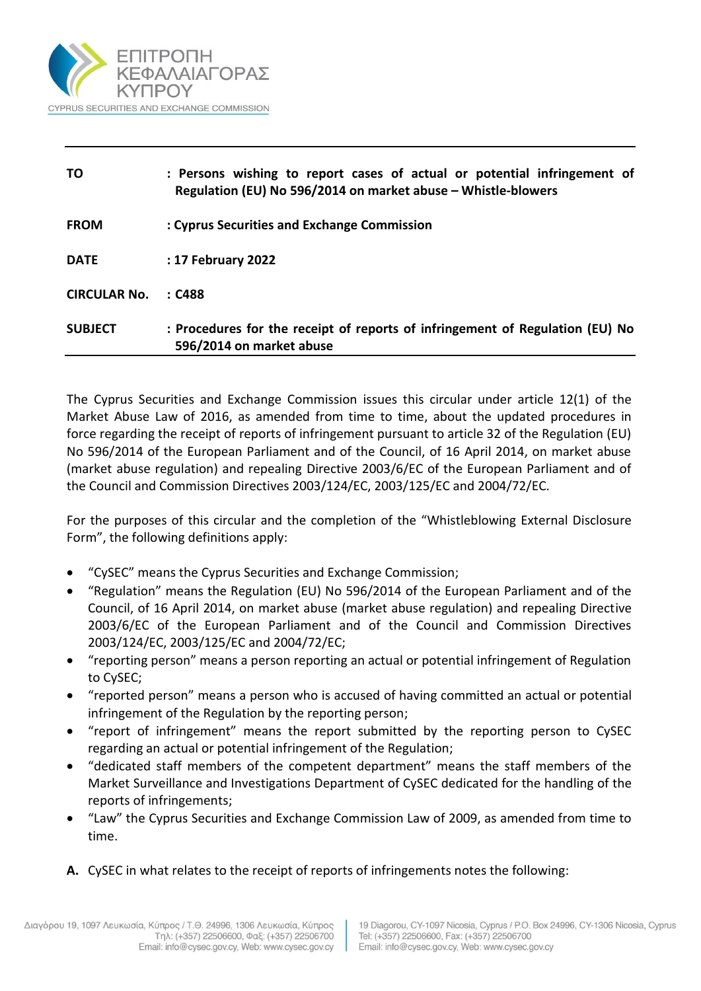

| TO                  | : Persons wishing to report cases of actual or potential infringement of<br>Regulation (EU) No 596/2014 on market abuse - Whistle-blowers |
|---------------------|-------------------------------------------------------------------------------------------------------------------------------------------|
| <b>FROM</b>         | : Cyprus Securities and Exchange Commission                                                                                               |
| <b>DATE</b>         | : 17 February 2022                                                                                                                        |
| <b>CIRCULAR No.</b> | :C488                                                                                                                                     |
| <b>SUBJECT</b>      | : Procedures for the receipt of reports of infringement of Regulation (EU) No<br>596/2014 on market abuse                                 |

The Cyprus Securities and Exchange Commission issues this circular under article 12(1) of the Market Abuse Law of 2016, as amended from time to time, about the updated procedures in force regarding the receipt of reports of infringement pursuant to article 32 of the Regulation (EU) No 596/2014 of the European Parliament and of the Council, of 16 April 2014, on market abuse (market abuse regulation) and repealing Directive 2003/6/EC of the European Parliament and of the Council and Commission Directives 2003/124/EC, 2003/125/EC and 2004/72/EC.

For the purposes of this circular and the completion of the "Whistleblowing External Disclosure Form", the following definitions apply:

- "CySEC" means the Cyprus Securities and Exchange Commission;
- "Regulation" means the Regulation (EU) No 596/2014 of the European Parliament and of the Council, of 16 April 2014, on market abuse (market abuse regulation) and repealing Directive 2003/6/EC of the European Parliament and of the Council and Commission Directives 2003/124/EC, 2003/125/EC and 2004/72/EC;
- "reporting person" means a person reporting an actual or potential infringement of Regulation to CySEC;
- "reported person" means a person who is accused of having committed an actual or potential infringement of the Regulation by the reporting person;
- "report of infringement" means the report submitted by the reporting person to CySEC regarding an actual or potential infringement of the Regulation;
- "dedicated staff members of the competent department" means the staff members of the Market Surveillance and Investigations Department of CySEC dedicated for the handling of the reports of infringements;
- "Law" the Cyprus Securities and Exchange Commission Law of 2009, as amended from time to time.
- **A.** CySEC in what relates to the receipt of reports of infringements notes the following: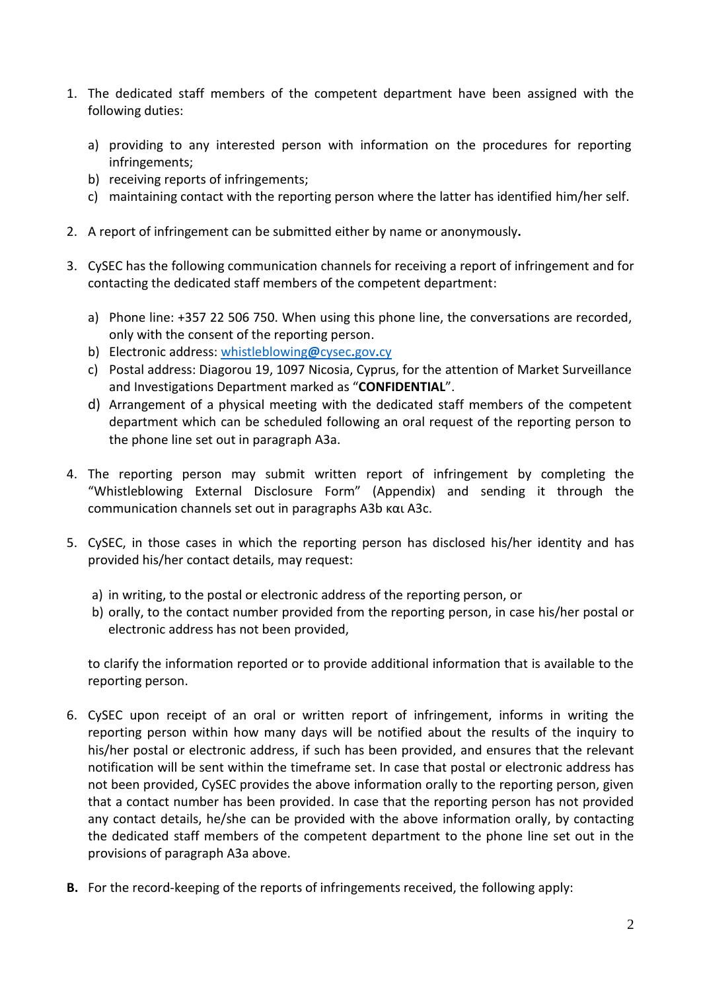- 1. The dedicated staff members of the competent department have been assigned with the following duties:
	- a) providing to any interested person with information on the procedures for reporting infringements;
	- b) receiving reports of infringements;
	- c) maintaining contact with the reporting person where the latter has identified him/her self.
- 2. A report of infringement can be submitted either by name or anonymously**.**
- 3. CySEC has the following communication channels for receiving a report of infringement and for contacting the dedicated staff members of the competent department:
	- a) Phone line: +357 22 506 750. When using this phone line, the conversations are recorded, only with the consent of the reporting person.
	- b) Electronic address: [whistleblowing](mailto:whistleblowing@cysec.gov.cy)**@**cysec**.**gov**.**cy
	- c) Postal address: Diagorou 19, 1097 Nicosia, Cyprus, for the attention of Market Surveillance and Investigations Department marked as "**CONFIDENTIAL**".
	- d) Arrangement of a physical meeting with the dedicated staff members of the competent department which can be scheduled following an oral request of the reporting person to the phone line set out in paragraph Α3a.
- 4. The reporting person may submit written report of infringement by completing the "Whistleblowing External Disclosure Form" (Appendix) and sending it through the communication channels set out in paragraphs Α3b και Α3c.
- 5. CySEC, in those cases in which the reporting person has disclosed his/her identity and has provided his/her contact details, may request:
	- a) in writing, to the postal or electronic address of the reporting person, or
	- b) orally, to the contact number provided from the reporting person, in case his/her postal or electronic address has not been provided,

to clarify the information reported or to provide additional information that is available to the reporting person.

- 6. CySEC upon receipt of an oral or written report of infringement, informs in writing the reporting person within how many days will be notified about the results of the inquiry to his/her postal or electronic address, if such has been provided, and ensures that the relevant notification will be sent within the timeframe set. In case that postal or electronic address has not been provided, CySEC provides the above information orally to the reporting person, given that a contact number has been provided. In case that the reporting person has not provided any contact details, he/she can be provided with the above information orally, by contacting the dedicated staff members of the competent department to the phone line set out in the provisions of paragraph A3a above.
- **B.** For the record-keeping of the reports of infringements received, the following apply: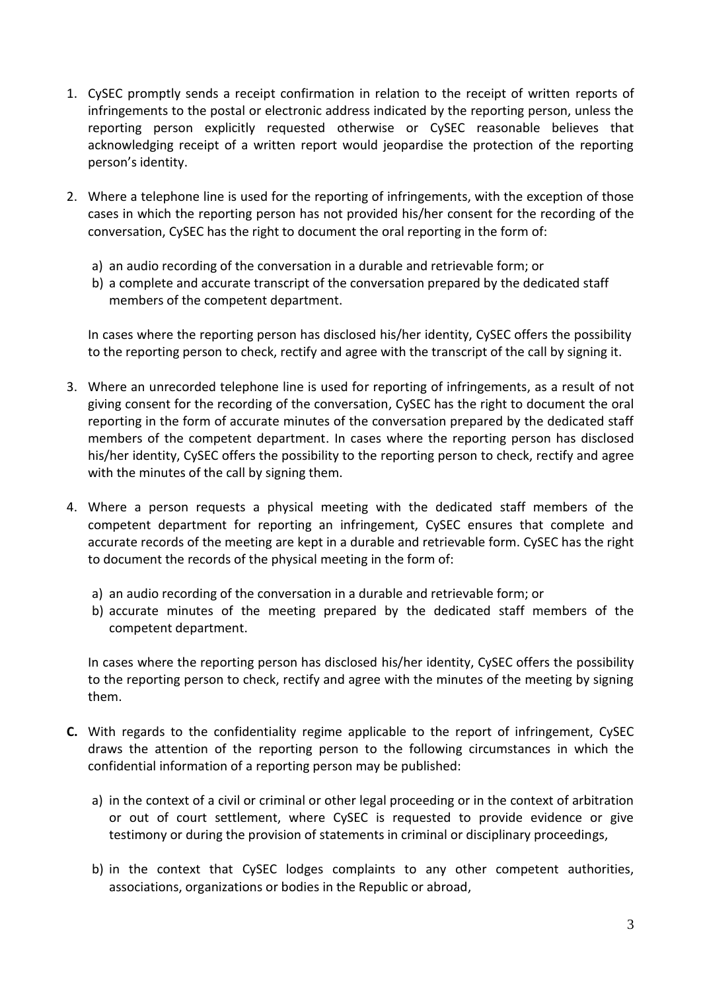- 1. CySEC promptly sends a receipt confirmation in relation to the receipt of written reports of infringements to the postal or electronic address indicated by the reporting person, unless the reporting person explicitly requested otherwise or CySEC reasonable believes that acknowledging receipt of a written report would jeopardise the protection of the reporting person's identity.
- 2. Where a telephone line is used for the reporting of infringements, with the exception of those cases in which the reporting person has not provided his/her consent for the recording of the conversation, CySEC has the right to document the oral reporting in the form of:
	- a) an audio recording of the conversation in a durable and retrievable form; or
	- b) a complete and accurate transcript of the conversation prepared by the dedicated staff members of the competent department.

In cases where the reporting person has disclosed his/her identity, CySEC offers the possibility to the reporting person to check, rectify and agree with the transcript of the call by signing it.

- 3. Where an unrecorded telephone line is used for reporting of infringements, as a result of not giving consent for the recording of the conversation, CySEC has the right to document the oral reporting in the form of accurate minutes of the conversation prepared by the dedicated staff members of the competent department. In cases where the reporting person has disclosed his/her identity, CySEC offers the possibility to the reporting person to check, rectify and agree with the minutes of the call by signing them.
- 4. Where a person requests a physical meeting with the dedicated staff members of the competent department for reporting an infringement, CySEC ensures that complete and accurate records of the meeting are kept in a durable and retrievable form. CySEC has the right to document the records of the physical meeting in the form of:
	- a) an audio recording of the conversation in a durable and retrievable form; or
	- b) accurate minutes of the meeting prepared by the dedicated staff members of the competent department.

In cases where the reporting person has disclosed his/her identity, CySEC offers the possibility to the reporting person to check, rectify and agree with the minutes of the meeting by signing them.

- **C.** With regards to the confidentiality regime applicable to the report of infringement, CySEC draws the attention of the reporting person to the following circumstances in which the confidential information of a reporting person may be published:
	- a) in the context of a civil or criminal or other legal proceeding or in the context of arbitration or out of court settlement, where CySEC is requested to provide evidence or give testimony or during the provision of statements in criminal or disciplinary proceedings,
	- b) in the context that CySEC lodges complaints to any other competent authorities, associations, organizations or bodies in the Republic or abroad,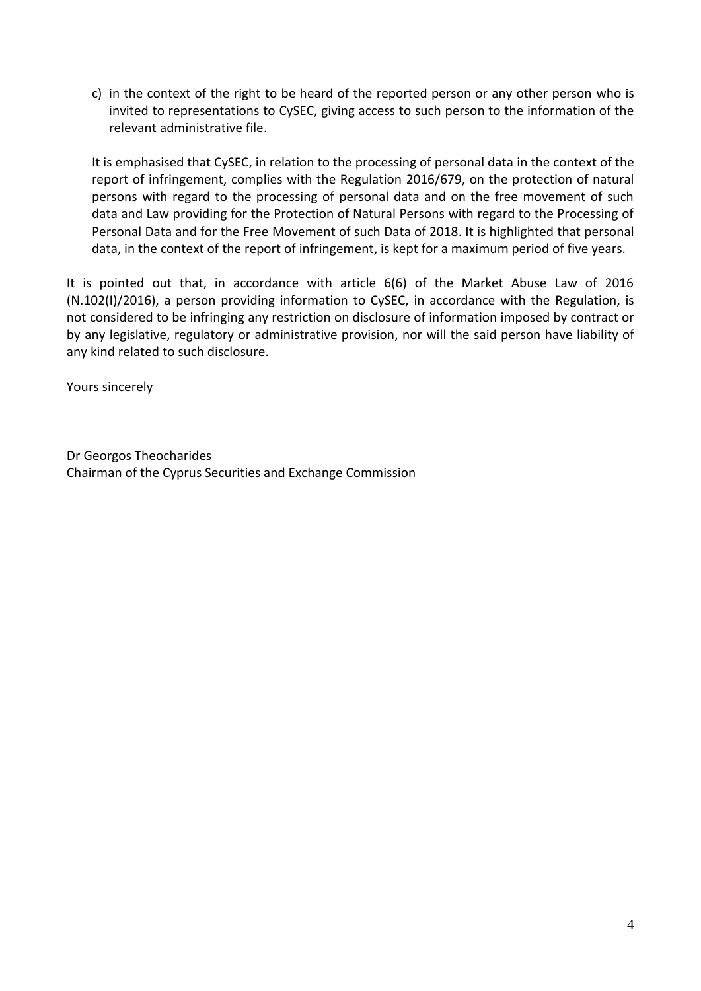c) in the context of the right to be heard of the reported person or any other person who is invited to representations to CySEC, giving access to such person to the information of the relevant administrative file.

It is emphasised that CySEC, in relation to the processing of personal data in the context of the report of infringement, complies with the Regulation 2016/679, on the protection of natural persons with regard to the processing of personal data and on the free movement of such data and Law providing for the Protection of Natural Persons with regard to the Processing of Personal Data and for the Free Movement of such Data of 2018. It is highlighted that personal data, in the context of the report of infringement, is kept for a maximum period of five years.

It is pointed out that, in accordance with article 6(6) of the Market Abuse Law of 2016 (N.102(I)/2016), a person providing information to CySEC, in accordance with the Regulation, is not considered to be infringing any restriction on disclosure of information imposed by contract or by any legislative, regulatory or administrative provision, nor will the said person have liability of any kind related to such disclosure.

Yours sincerely

Dr Georgos Theocharides Chairman of the Cyprus Securities and Exchange Commission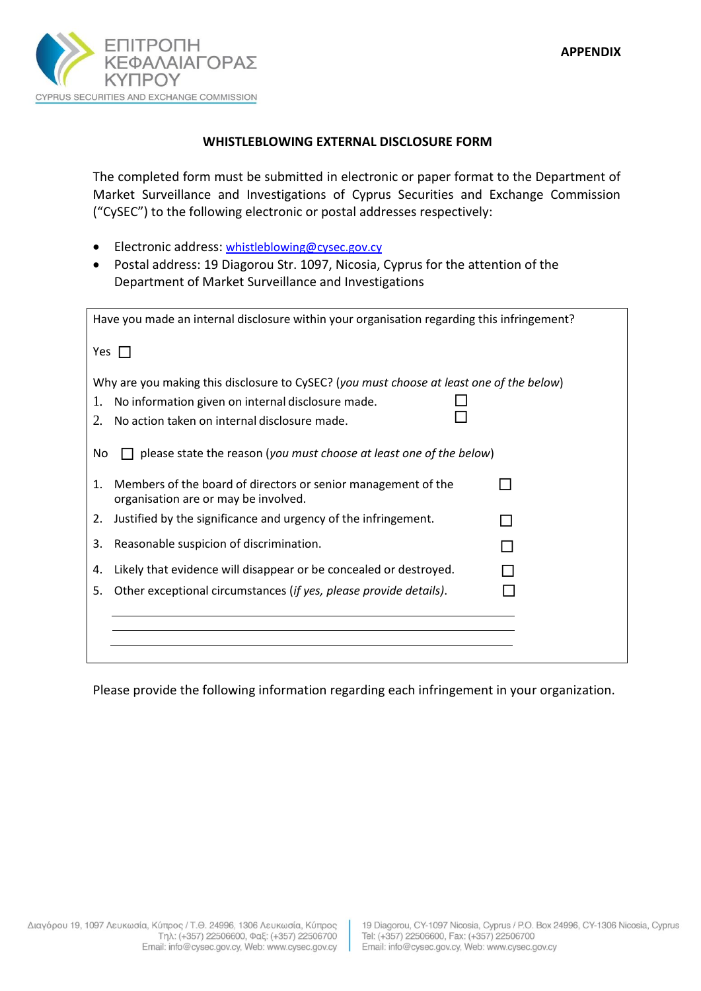

### **WHISTLEBLOWING EXTERNAL DISCLOSURE FORM**

The completed form must be submitted in electronic or paper format to the Department of Market Surveillance and Investigations of Cyprus Securities and Exchange Commission ("CySEC") to the following electronic or postal addresses respectively:

- **Electronic address:** [whistleblowing@cysec.gov.cy](mailto:whistleblowing@cysec.gov.cy)
- Postal address: 19 Diagorou Str. 1097, Nicosia, Cyprus for the attention of the Department of Market Surveillance and Investigations

| Have you made an internal disclosure within your organisation regarding this infringement?                                                                                                                |  |  |  |
|-----------------------------------------------------------------------------------------------------------------------------------------------------------------------------------------------------------|--|--|--|
| Yes $\Box$                                                                                                                                                                                                |  |  |  |
| Why are you making this disclosure to CySEC? (you must choose at least one of the below)<br>No information given on internal disclosure made.<br>1.<br>No action taken on internal disclosure made.<br>2. |  |  |  |
| please state the reason (you must choose at least one of the below)<br>No                                                                                                                                 |  |  |  |
| Members of the board of directors or senior management of the<br>$\mathbf{1}$ .<br>organisation are or may be involved.                                                                                   |  |  |  |
| Justified by the significance and urgency of the infringement.<br>2.                                                                                                                                      |  |  |  |
| Reasonable suspicion of discrimination.<br>3.                                                                                                                                                             |  |  |  |
| Likely that evidence will disappear or be concealed or destroyed.<br>4.                                                                                                                                   |  |  |  |
| Other exceptional circumstances (if yes, please provide details).<br>5.                                                                                                                                   |  |  |  |
|                                                                                                                                                                                                           |  |  |  |
|                                                                                                                                                                                                           |  |  |  |
|                                                                                                                                                                                                           |  |  |  |

Please provide the following information regarding each infringement in your organization.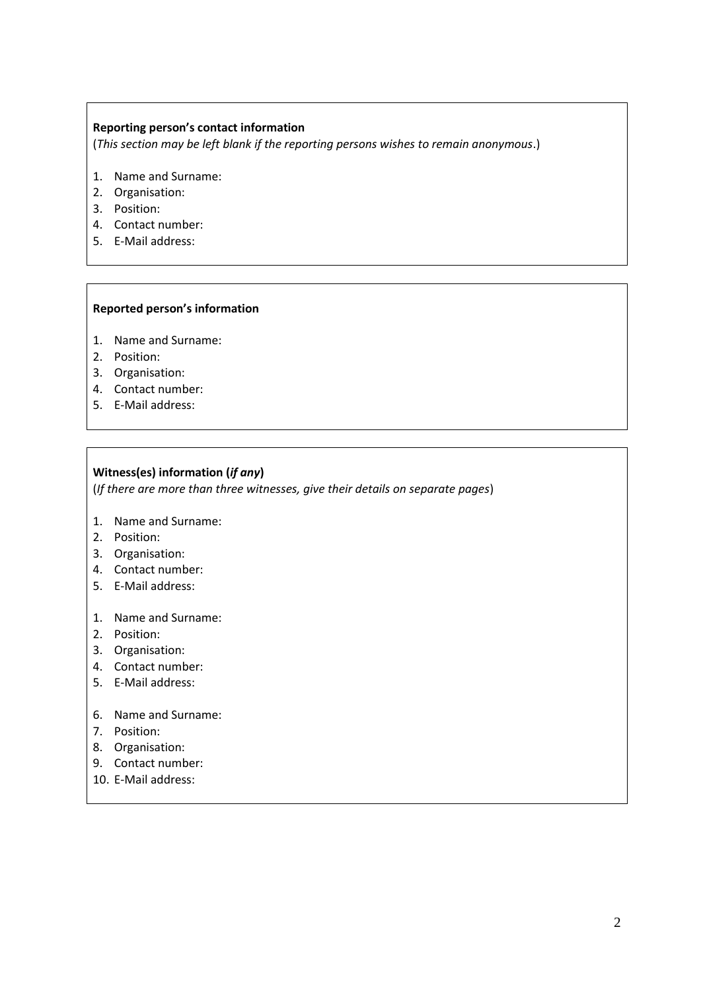#### **Reporting person's contact information**

(*This section may be left blank if the reporting persons wishes to remain anonymous*.)

- 1. Name and Surname:
- 2. Organisation:
- 3. Position:
- 4. Contact number:
- 5. E-Mail address:

#### **Reported person's information**

- 1. Name and Surname:
- 2. Position:
- 3. Organisation:
- 4. Contact number:
- 5. E-Mail address:

#### **Witness(es) information (***if any***)**

(*If there are more than three witnesses, give their details on separate pages*)

- 1. Name and Surname:
- 2. Position:
- 3. Organisation:
- 4. Contact number:
- 5. E-Mail address:
- 1. Name and Surname:
- 2. Position:
- 3. Organisation:
- 4. Contact number:
- 5. E-Mail address:
- 6. Name and Surname:
- 7. Position:
- 8. Organisation:
- 9. Contact number:
- 10. E-Mail address: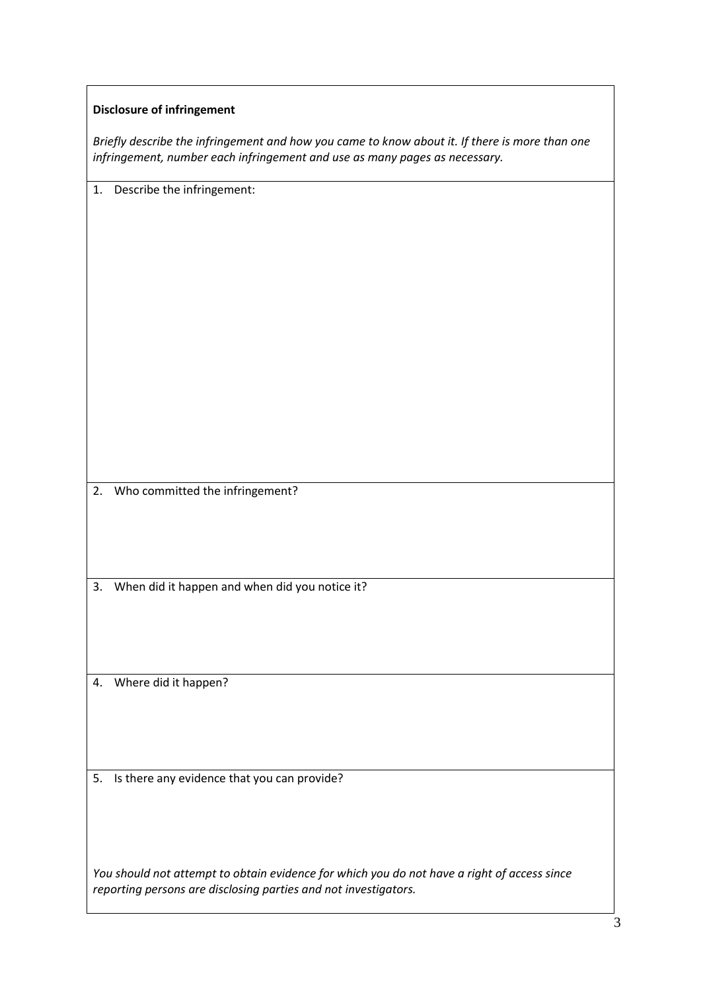#### **Disclosure of infringement**

| Briefly describe the infringement and how you came to know about it. If there is more than one |
|------------------------------------------------------------------------------------------------|
| infringement, number each infringement and use as many pages as necessary.                     |

1. Describe the infringement: 2. Who committed the infringement? 3. When did it happen and when did you notice it? 4. Where did it happen? 5. Is there any evidence that you can provide?

*You should not attempt to obtain evidence for which you do not have a right of access since reporting persons are disclosing parties and not investigators.*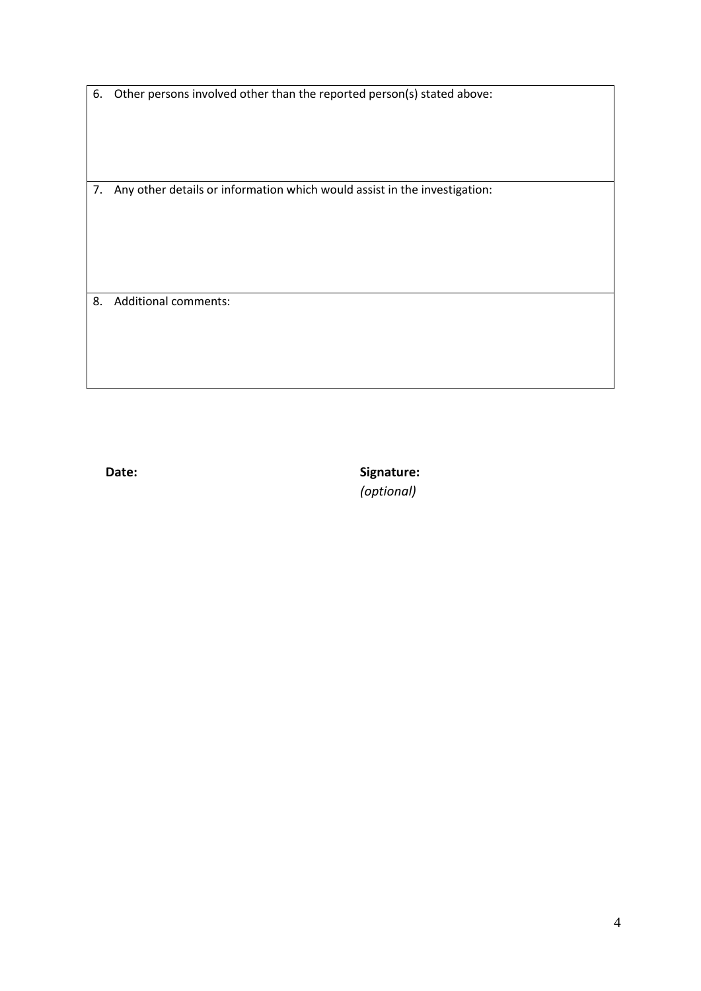6. Other persons involved other than the reported person(s) stated above:

7. Any other details or information which would assist in the investigation:

8. Additional comments:

**Date:** Signature: *(optional)*